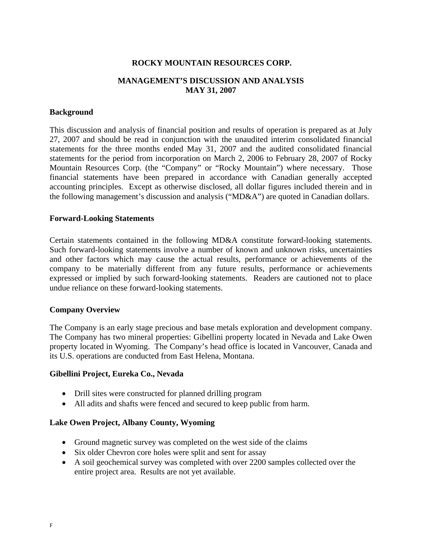# **ROCKY MOUNTAIN RESOURCES CORP.**

# **MANAGEMENT'S DISCUSSION AND ANALYSIS MAY 31, 2007**

### **Background**

This discussion and analysis of financial position and results of operation is prepared as at July 27, 2007 and should be read in conjunction with the unaudited interim consolidated financial statements for the three months ended May 31, 2007 and the audited consolidated financial statements for the period from incorporation on March 2, 2006 to February 28, 2007 of Rocky Mountain Resources Corp. (the "Company" or "Rocky Mountain") where necessary. Those financial statements have been prepared in accordance with Canadian generally accepted accounting principles. Except as otherwise disclosed, all dollar figures included therein and in the following management's discussion and analysis ("MD&A") are quoted in Canadian dollars.

#### **Forward-Looking Statements**

Certain statements contained in the following MD&A constitute forward-looking statements. Such forward-looking statements involve a number of known and unknown risks, uncertainties and other factors which may cause the actual results, performance or achievements of the company to be materially different from any future results, performance or achievements expressed or implied by such forward-looking statements. Readers are cautioned not to place undue reliance on these forward-looking statements.

## **Company Overview**

The Company is an early stage precious and base metals exploration and development company. The Company has two mineral properties: Gibellini property located in Nevada and Lake Owen property located in Wyoming. The Company's head office is located in Vancouver, Canada and its U.S. operations are conducted from East Helena, Montana.

## **Gibellini Project, Eureka Co., Nevada**

- Drill sites were constructed for planned drilling program
- All adits and shafts were fenced and secured to keep public from harm.

## **Lake Owen Project, Albany County, Wyoming**

- Ground magnetic survey was completed on the west side of the claims
- Six older Chevron core holes were split and sent for assay
- A soil geochemical survey was completed with over 2200 samples collected over the entire project area. Results are not yet available.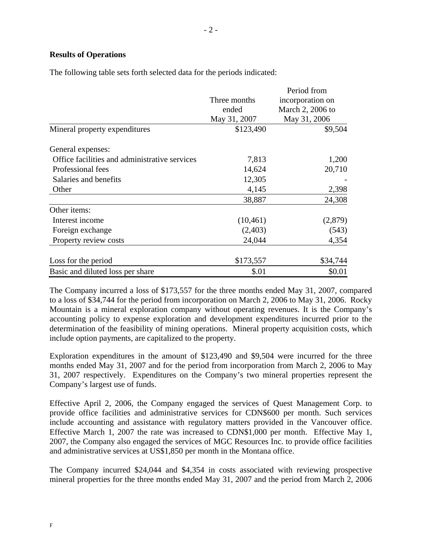# **Results of Operations**

The following table sets forth selected data for the periods indicated:

|                                               | Period from  |                                      |  |  |
|-----------------------------------------------|--------------|--------------------------------------|--|--|
|                                               | Three months | incorporation on<br>March 2, 2006 to |  |  |
|                                               | ended        |                                      |  |  |
|                                               | May 31, 2007 | May 31, 2006                         |  |  |
| Mineral property expenditures                 | \$123,490    | \$9,504                              |  |  |
| General expenses:                             |              |                                      |  |  |
| Office facilities and administrative services | 7,813        | 1,200                                |  |  |
| Professional fees                             | 14,624       | 20,710                               |  |  |
| Salaries and benefits                         | 12,305       |                                      |  |  |
| Other                                         | 4,145        | 2,398                                |  |  |
|                                               | 38,887       | 24,308                               |  |  |
| Other items:                                  |              |                                      |  |  |
| Interest income                               | (10, 461)    | (2,879)                              |  |  |
| Foreign exchange                              | (2,403)      | (543)                                |  |  |
| Property review costs                         | 24,044       | 4,354                                |  |  |
| Loss for the period                           | \$173,557    | \$34,744                             |  |  |
| Basic and diluted loss per share              | \$.01        | \$0.01                               |  |  |

The Company incurred a loss of \$173,557 for the three months ended May 31, 2007, compared to a loss of \$34,744 for the period from incorporation on March 2, 2006 to May 31, 2006. Rocky Mountain is a mineral exploration company without operating revenues. It is the Company's accounting policy to expense exploration and development expenditures incurred prior to the determination of the feasibility of mining operations. Mineral property acquisition costs, which include option payments, are capitalized to the property.

Exploration expenditures in the amount of \$123,490 and \$9,504 were incurred for the three months ended May 31, 2007 and for the period from incorporation from March 2, 2006 to May 31, 2007 respectively. Expenditures on the Company's two mineral properties represent the Company's largest use of funds.

Effective April 2, 2006, the Company engaged the services of Quest Management Corp. to provide office facilities and administrative services for CDN\$600 per month. Such services include accounting and assistance with regulatory matters provided in the Vancouver office. Effective March 1, 2007 the rate was increased to CDN\$1,000 per month. Effective May 1, 2007, the Company also engaged the services of MGC Resources Inc. to provide office facilities and administrative services at US\$1,850 per month in the Montana office.

The Company incurred \$24,044 and \$4,354 in costs associated with reviewing prospective mineral properties for the three months ended May 31, 2007 and the period from March 2, 2006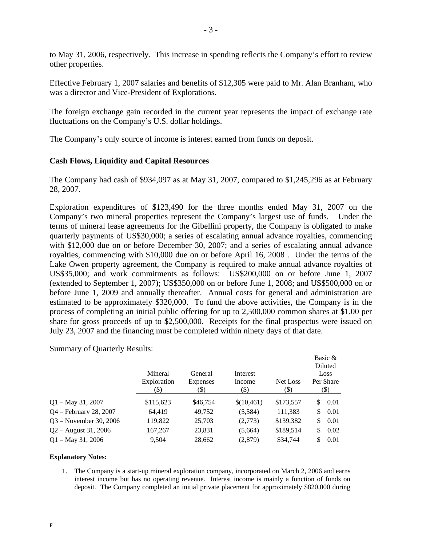to May 31, 2006, respectively. This increase in spending reflects the Company's effort to review other properties.

Effective February 1, 2007 salaries and benefits of \$12,305 were paid to Mr. Alan Branham, who was a director and Vice-President of Explorations.

The foreign exchange gain recorded in the current year represents the impact of exchange rate fluctuations on the Company's U.S. dollar holdings.

The Company's only source of income is interest earned from funds on deposit.

# **Cash Flows, Liquidity and Capital Resources**

The Company had cash of \$934,097 as at May 31, 2007, compared to \$1,245,296 as at February 28, 2007.

Exploration expenditures of \$123,490 for the three months ended May 31, 2007 on the Company's two mineral properties represent the Company's largest use of funds. Under the terms of mineral lease agreements for the Gibellini property, the Company is obligated to make quarterly payments of US\$30,000; a series of escalating annual advance royalties, commencing with \$12,000 due on or before December 30, 2007; and a series of escalating annual advance royalties, commencing with \$10,000 due on or before April 16, 2008 . Under the terms of the Lake Owen property agreement, the Company is required to make annual advance royalties of US\$35,000; and work commitments as follows: US\$200,000 on or before June 1, 2007 (extended to September 1, 2007); US\$350,000 on or before June 1, 2008; and US\$500,000 on or before June 1, 2009 and annually thereafter. Annual costs for general and administration are estimated to be approximately \$320,000. To fund the above activities, the Company is in the process of completing an initial public offering for up to 2,500,000 common shares at \$1.00 per share for gross proceeds of up to \$2,500,000. Receipts for the final prospectus were issued on July 23, 2007 and the financing must be completed within ninety days of that date.

Summary of Quarterly Results:

|                          |                                |                             |                            |                  | Basic &<br>Diluted        |
|--------------------------|--------------------------------|-----------------------------|----------------------------|------------------|---------------------------|
|                          | Mineral<br>Exploration<br>(\$) | General<br>Expenses<br>(\$) | Interest<br>Income<br>(\$) | Net Loss<br>(\$) | Loss<br>Per Share<br>(\$) |
| $Q1 - May 31, 2007$      | \$115,623                      | \$46,754                    | \$(10,461)                 | \$173,557        | 0.01<br>S                 |
| $Q4$ – February 28, 2007 | 64,419                         | 49,752                      | (5,584)                    | 111,383          | 0.01<br>S                 |
| $Q3 - November 30, 2006$ | 119,822                        | 25,703                      | (2,773)                    | \$139,382        | 0.01<br>\$                |
| $Q2 -$ August 31, 2006   | 167,267                        | 23,831                      | (5,664)                    | \$189,514        | 0.02<br>\$                |
| $Q1 - May 31, 2006$      | 9.504                          | 28,662                      | (2,879)                    | \$34,744         | 0.01<br>\$                |

#### **Explanatory Notes:**

1. The Company is a start-up mineral exploration company, incorporated on March 2, 2006 and earns interest income but has no operating revenue. Interest income is mainly a function of funds on deposit. The Company completed an initial private placement for approximately \$820,000 during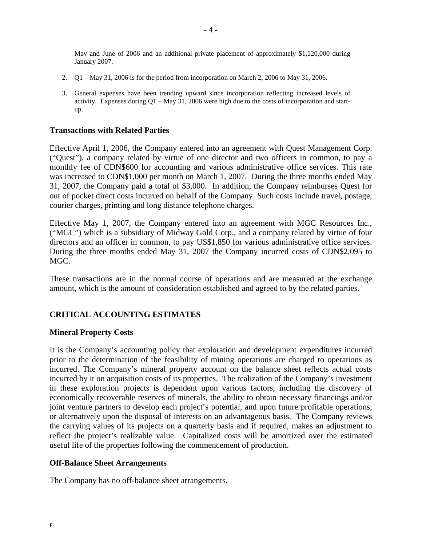May and June of 2006 and an additional private placement of approximately \$1,120,000 during January 2007.

- 2. Q1 May 31, 2006 is for the period from incorporation on March 2, 2006 to May 31, 2006.
- 3. General expenses have been trending upward since incorporation reflecting increased levels of activity. Expenses during  $Q1 - May 31$ , 2006 were high due to the costs of incorporation and startup.

#### **Transactions with Related Parties**

Effective April 1, 2006, the Company entered into an agreement with Quest Management Corp. ("Quest"), a company related by virtue of one director and two officers in common, to pay a monthly fee of CDN\$600 for accounting and various administrative office services. This rate was increased to CDN\$1,000 per month on March 1, 2007. During the three months ended May 31, 2007, the Company paid a total of \$3,000. In addition, the Company reimburses Quest for out of pocket direct costs incurred on behalf of the Company. Such costs include travel, postage, courier charges, printing and long distance telephone charges.

Effective May 1, 2007, the Company entered into an agreement with MGC Resources Inc., ("MGC") which is a subsidiary of Midway Gold Corp., and a company related by virtue of four directors and an officer in common, to pay US\$1,850 for various administrative office services. During the three months ended May 31, 2007 the Company incurred costs of CDN\$2,095 to MGC.

These transactions are in the normal course of operations and are measured at the exchange amount, which is the amount of consideration established and agreed to by the related parties.

#### **CRITICAL ACCOUNTING ESTIMATES**

#### **Mineral Property Costs**

It is the Company's accounting policy that exploration and development expenditures incurred prior to the determination of the feasibility of mining operations are charged to operations as incurred. The Company's mineral property account on the balance sheet reflects actual costs incurred by it on acquisition costs of its properties. The realization of the Company's investment in these exploration projects is dependent upon various factors, including the discovery of economically recoverable reserves of minerals, the ability to obtain necessary financings and/or joint venture partners to develop each project's potential, and upon future profitable operations, or alternatively upon the disposal of interests on an advantageous basis. The Company reviews the carrying values of its projects on a quarterly basis and if required, makes an adjustment to reflect the project's realizable value. Capitalized costs will be amortized over the estimated useful life of the properties following the commencement of production.

#### **Off-Balance Sheet Arrangements**

The Company has no off-balance sheet arrangements.